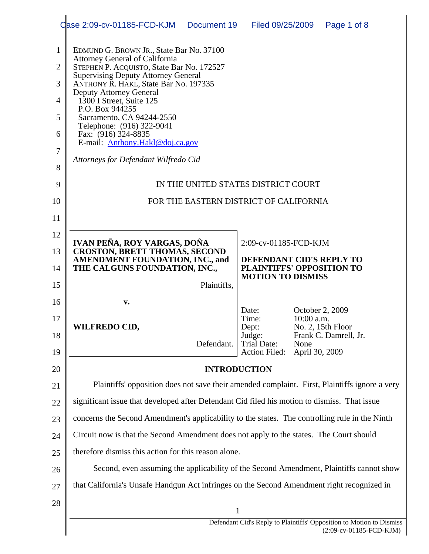|                                                              | Case 2:09-cv-01185-FCD-KJM<br>Document 19                                                                                                                                                                                                                                                                                                                                                                                                                          | Filed 09/25/2009                                             |                               | Page 1 of 8                                |  |  |  |  |
|--------------------------------------------------------------|--------------------------------------------------------------------------------------------------------------------------------------------------------------------------------------------------------------------------------------------------------------------------------------------------------------------------------------------------------------------------------------------------------------------------------------------------------------------|--------------------------------------------------------------|-------------------------------|--------------------------------------------|--|--|--|--|
| $\mathbf{1}$<br>$\overline{2}$<br>3<br>4<br>5<br>6<br>7<br>8 | EDMUND G. BROWN JR., State Bar No. 37100<br><b>Attorney General of California</b><br>STEPHEN P. ACQUISTO, State Bar No. 172527<br><b>Supervising Deputy Attorney General</b><br>ANTHONY R. HAKL, State Bar No. 197335<br><b>Deputy Attorney General</b><br>1300 I Street, Suite 125<br>P.O. Box 944255<br>Sacramento, CA 94244-2550<br>Telephone: (916) 322-9041<br>Fax: (916) 324-8835<br>E-mail: Anthony.Hakl@doj.ca.gov<br>Attorneys for Defendant Wilfredo Cid |                                                              |                               |                                            |  |  |  |  |
| 9                                                            | IN THE UNITED STATES DISTRICT COURT                                                                                                                                                                                                                                                                                                                                                                                                                                |                                                              |                               |                                            |  |  |  |  |
| 10                                                           |                                                                                                                                                                                                                                                                                                                                                                                                                                                                    | FOR THE EASTERN DISTRICT OF CALIFORNIA                       |                               |                                            |  |  |  |  |
| 11                                                           |                                                                                                                                                                                                                                                                                                                                                                                                                                                                    |                                                              |                               |                                            |  |  |  |  |
| 12                                                           | IVAN PEÑA, ROY VARGAS, DOÑA                                                                                                                                                                                                                                                                                                                                                                                                                                        |                                                              |                               |                                            |  |  |  |  |
| 13                                                           | <b>CROSTON, BRETT THOMAS, SECOND</b><br>AMENDMENT FOUNDATION, INC., and                                                                                                                                                                                                                                                                                                                                                                                            | 2:09-cv-01185-FCD-KJM<br>DEFENDANT CID'S REPLY TO            |                               |                                            |  |  |  |  |
| 14                                                           | THE CALGUNS FOUNDATION, INC.,                                                                                                                                                                                                                                                                                                                                                                                                                                      | <b>PLAINTIFFS' OPPOSITION TO</b><br><b>MOTION TO DISMISS</b> |                               |                                            |  |  |  |  |
| 15                                                           | Plaintiffs,                                                                                                                                                                                                                                                                                                                                                                                                                                                        |                                                              |                               |                                            |  |  |  |  |
| 16<br>17<br>18                                               | $\mathbf{v}$ .<br><b>WILFREDO CID,</b>                                                                                                                                                                                                                                                                                                                                                                                                                             | Date:<br>Time:<br>Dept:<br>Judge:                            | October 2, 2009<br>10:00 a.m. | No. 2, 15th Floor<br>Frank C. Damrell, Jr. |  |  |  |  |
| 19                                                           | Defendant.                                                                                                                                                                                                                                                                                                                                                                                                                                                         | <b>Trial Date:</b><br><b>Action Filed:</b>                   | None<br>April 30, 2009        |                                            |  |  |  |  |
| 20                                                           | <b>INTRODUCTION</b>                                                                                                                                                                                                                                                                                                                                                                                                                                                |                                                              |                               |                                            |  |  |  |  |
| 21                                                           | Plaintiffs' opposition does not save their amended complaint. First, Plaintiffs ignore a very                                                                                                                                                                                                                                                                                                                                                                      |                                                              |                               |                                            |  |  |  |  |
| 22                                                           | significant issue that developed after Defendant Cid filed his motion to dismiss. That issue                                                                                                                                                                                                                                                                                                                                                                       |                                                              |                               |                                            |  |  |  |  |
| 23                                                           | concerns the Second Amendment's applicability to the states. The controlling rule in the Ninth                                                                                                                                                                                                                                                                                                                                                                     |                                                              |                               |                                            |  |  |  |  |
| 24                                                           | Circuit now is that the Second Amendment does not apply to the states. The Court should                                                                                                                                                                                                                                                                                                                                                                            |                                                              |                               |                                            |  |  |  |  |
| 25                                                           | therefore dismiss this action for this reason alone.                                                                                                                                                                                                                                                                                                                                                                                                               |                                                              |                               |                                            |  |  |  |  |
| 26                                                           | Second, even assuming the applicability of the Second Amendment, Plaintiffs cannot show                                                                                                                                                                                                                                                                                                                                                                            |                                                              |                               |                                            |  |  |  |  |
| 27                                                           | that California's Unsafe Handgun Act infringes on the Second Amendment right recognized in                                                                                                                                                                                                                                                                                                                                                                         |                                                              |                               |                                            |  |  |  |  |
| 28                                                           | $\mathbf 1$                                                                                                                                                                                                                                                                                                                                                                                                                                                        |                                                              |                               |                                            |  |  |  |  |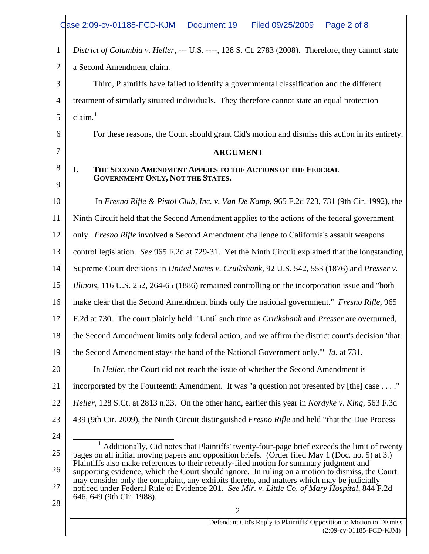<span id="page-1-0"></span>

|                | Case 2:09-cv-01185-FCD-KJM<br>Document 19<br>Filed 09/25/2009<br>Page 2 of 8                                                                                                                                             |  |  |  |  |  |
|----------------|--------------------------------------------------------------------------------------------------------------------------------------------------------------------------------------------------------------------------|--|--|--|--|--|
| $\mathbf{1}$   | District of Columbia v. Heller, --- U.S. ----, 128 S. Ct. 2783 (2008). Therefore, they cannot state                                                                                                                      |  |  |  |  |  |
| $\overline{2}$ | a Second Amendment claim.                                                                                                                                                                                                |  |  |  |  |  |
| 3              | Third, Plaintiffs have failed to identify a governmental classification and the different                                                                                                                                |  |  |  |  |  |
| 4              | treatment of similarly situated individuals. They therefore cannot state an equal protection                                                                                                                             |  |  |  |  |  |
| 5              | claim. <sup>1</sup>                                                                                                                                                                                                      |  |  |  |  |  |
| 6              | For these reasons, the Court should grant Cid's motion and dismiss this action in its entirety.                                                                                                                          |  |  |  |  |  |
| 7              | <b>ARGUMENT</b>                                                                                                                                                                                                          |  |  |  |  |  |
| 8              | THE SECOND AMENDMENT APPLIES TO THE ACTIONS OF THE FEDERAL<br>I.<br><b>GOVERNMENT ONLY, NOT THE STATES.</b>                                                                                                              |  |  |  |  |  |
| 9              |                                                                                                                                                                                                                          |  |  |  |  |  |
| 10             | In Fresno Rifle & Pistol Club, Inc. v. Van De Kamp, 965 F.2d 723, 731 (9th Cir. 1992), the                                                                                                                               |  |  |  |  |  |
| 11             | Ninth Circuit held that the Second Amendment applies to the actions of the federal government                                                                                                                            |  |  |  |  |  |
| 12             | only. Fresno Rifle involved a Second Amendment challenge to California's assault weapons                                                                                                                                 |  |  |  |  |  |
| 13             | control legislation. See 965 F.2d at 729-31. Yet the Ninth Circuit explained that the longstanding                                                                                                                       |  |  |  |  |  |
| 14             | Supreme Court decisions in <i>United States v. Cruikshank</i> , 92 U.S. 542, 553 (1876) and <i>Presser v.</i>                                                                                                            |  |  |  |  |  |
| 15             | Illinois, 116 U.S. 252, 264-65 (1886) remained controlling on the incorporation issue and "both                                                                                                                          |  |  |  |  |  |
| 16             | make clear that the Second Amendment binds only the national government." Fresno Rifle, 965                                                                                                                              |  |  |  |  |  |
| 17             | F.2d at 730. The court plainly held: "Until such time as <i>Cruikshank</i> and <i>Presser</i> are overturned,                                                                                                            |  |  |  |  |  |
| 18             | the Second Amendment limits only federal action, and we affirm the district court's decision 'that                                                                                                                       |  |  |  |  |  |
| 19             | the Second Amendment stays the hand of the National Government only." <i>Id.</i> at 731.                                                                                                                                 |  |  |  |  |  |
| 20             | In <i>Heller</i> , the Court did not reach the issue of whether the Second Amendment is                                                                                                                                  |  |  |  |  |  |
| 21             | incorporated by the Fourteenth Amendment. It was "a question not presented by [the] case "                                                                                                                               |  |  |  |  |  |
| 22             | Heller, 128 S.Ct. at 2813 n.23. On the other hand, earlier this year in <i>Nordyke v. King</i> , 563 F.3d                                                                                                                |  |  |  |  |  |
| 23             | 439 (9th Cir. 2009), the Ninth Circuit distinguished <i>Fresno Rifle</i> and held "that the Due Process"                                                                                                                 |  |  |  |  |  |
| 24             |                                                                                                                                                                                                                          |  |  |  |  |  |
| 25             | <sup>1</sup> Additionally, Cid notes that Plaintiffs' twenty-four-page brief exceeds the limit of twenty<br>pages on all initial moving papers and opposition briefs. (Order filed May 1 (Doc. no. 5) at 3.)             |  |  |  |  |  |
| 26             | Plaintiffs also make references to their recently-filed motion for summary judgment and<br>supporting evidence, which the Court should ignore. In ruling on a motion to dismiss, the Court                               |  |  |  |  |  |
| 27             | may consider only the complaint, any exhibits thereto, and matters which may be judicially<br>noticed under Federal Rule of Evidence 201. See Mir. v. Little Co. of Mary Hospital, 844 F.2d<br>646, 649 (9th Cir. 1988). |  |  |  |  |  |
| 28             | 2                                                                                                                                                                                                                        |  |  |  |  |  |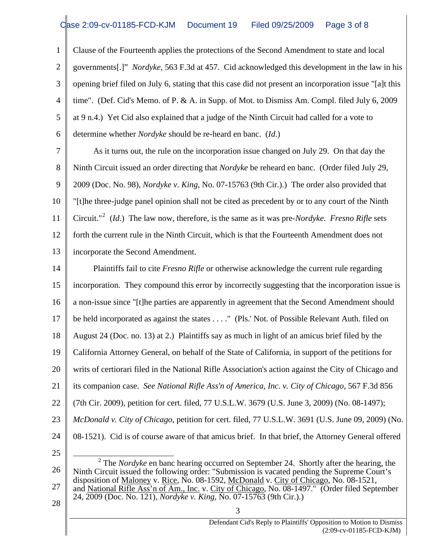1 2 3 4 5 6 Clause of the Fourteenth applies the protections of the Second Amendment to state and local governments[.]" *Nordyke*, 563 F.3d at 457. Cid acknowledged this development in the law in his opening brief filed on July 6, stating that this case did not present an incorporation issue "[a]t this time". (Def. Cid's Memo. of P. & A. in Supp. of Mot. to Dismiss Am. Compl. filed July 6, 2009 at 9 n.4.) Yet Cid also explained that a judge of the Ninth Circuit had called for a vote to determine whether *Nordyke* should be re-heard en banc. (*Id*.)

7 8 9 10 11 12 13 As it turns out, the rule on the incorporation issue changed on July 29. On that day the Ninth Circuit issued an order directing that *Nordyke* be reheard en banc. (Order filed July 29, 2009 (Doc. No. 98), *Nordyke v. King*, No. 07-15763 (9th Cir.).) The order also provided that "[t]he three-judge panel opinion shall not be cited as precedent by or to any court of the Ninth Circuit."[2](#page-2-0) (*Id*.) The law now, therefore, is the same as it was pre-*Nordyke*. *Fresno Rifle* sets forth the current rule in the Ninth Circuit, which is that the Fourteenth Amendment does not incorporate the Second Amendment.

14 15 16 17 18 19 20 21 22 23 24 25  $\overline{a}$ Plaintiffs fail to cite *Fresno Rifle* or otherwise acknowledge the current rule regarding incorporation. They compound this error by incorrectly suggesting that the incorporation issue is a non-issue since "[t]he parties are apparently in agreement that the Second Amendment should be held incorporated as against the states . . . . " (Pls.' Not. of Possible Relevant Auth. filed on August 24 (Doc. no. 13) at 2.) Plaintiffs say as much in light of an amicus brief filed by the California Attorney General, on behalf of the State of California, in support of the petitions for writs of certiorari filed in the National Rifle Association's action against the City of Chicago and its companion case. *See National Rifle Ass'n of America, Inc. v. City of Chicago*, 567 F.3d 856 (7th Cir. 2009), petition for cert. filed, 77 U.S.L.W. 3679 (U.S. June 3, 2009) (No. 08-1497); *McDonald v. City of Chicago*, petition for cert. filed, 77 U.S.L.W. 3691 (U.S. June 09, 2009) (No. 08-1521). Cid is of course aware of that amicus brief. In that brief, the Attorney General offered

3

28

<span id="page-2-0"></span><sup>26</sup>  27 <sup>2</sup> The *Nordyke* en banc hearing occurred on September 24. Shortly after the hearing, the Ninth Circuit issued the following order: "Submission is vacated pending the Supreme Court's disposition of Maloney v. Rice, No. 08-1592, McDonald v. City of Chicago, No. 08-1521, and National Rifle Ass'n of Am., Inc. v. City of Chicago, No. 08-1497." (Order filed September 24, 2009 (Doc. No. 121), *Nordyke v. King*, No. 07-15763 (9th Cir.).)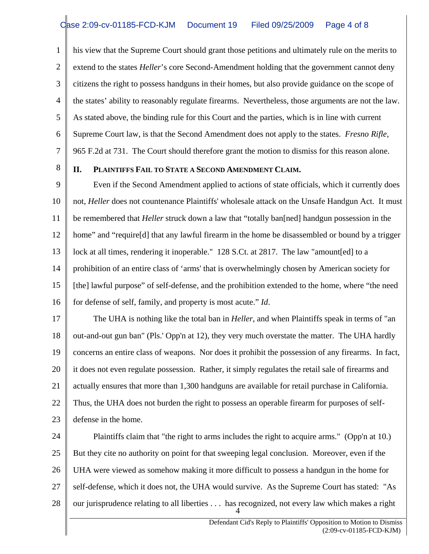1 2 3 4 5 6 7 his view that the Supreme Court should grant those petitions and ultimately rule on the merits to extend to the states *Heller*'s core Second-Amendment holding that the government cannot deny citizens the right to possess handguns in their homes, but also provide guidance on the scope of the states' ability to reasonably regulate firearms. Nevertheless, those arguments are not the law. As stated above, the binding rule for this Court and the parties, which is in line with current Supreme Court law, is that the Second Amendment does not apply to the states. *Fresno Rifle*, 965 F.2d at 731. The Court should therefore grant the motion to dismiss for this reason alone.

8

## **II. PLAINTIFFS FAIL TO STATE A SECOND AMENDMENT CLAIM.**

9 10 11 12 13 14 15 16 Even if the Second Amendment applied to actions of state officials, which it currently does not, *Heller* does not countenance Plaintiffs' wholesale attack on the Unsafe Handgun Act. It must be remembered that *Heller* struck down a law that "totally ban[ned] handgun possession in the home" and "require[d] that any lawful firearm in the home be disassembled or bound by a trigger lock at all times, rendering it inoperable." 128 S.Ct. at 2817. The law "amount [ed] to a prohibition of an entire class of 'arms' that is overwhelmingly chosen by American society for [the] lawful purpose" of self-defense, and the prohibition extended to the home, where "the need for defense of self, family, and property is most acute." *Id*.

17 18 19 20 21 22 23 The UHA is nothing like the total ban in *Heller*, and when Plaintiffs speak in terms of "an out-and-out gun ban" (Pls.' Opp'n at 12), they very much overstate the matter. The UHA hardly concerns an entire class of weapons. Nor does it prohibit the possession of any firearms. In fact, it does not even regulate possession. Rather, it simply regulates the retail sale of firearms and actually ensures that more than 1,300 handguns are available for retail purchase in California. Thus, the UHA does not burden the right to possess an operable firearm for purposes of selfdefense in the home.

24 25 26 27 28 4 Plaintiffs claim that "the right to arms includes the right to acquire arms." (Opp'n at 10.) But they cite no authority on point for that sweeping legal conclusion. Moreover, even if the UHA were viewed as somehow making it more difficult to possess a handgun in the home for self-defense, which it does not, the UHA would survive. As the Supreme Court has stated: "As our jurisprudence relating to all liberties . . . has recognized, not every law which makes a right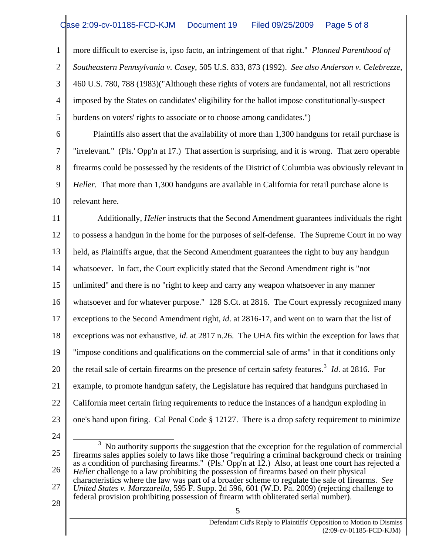1 2 3 4 5 more difficult to exercise is, ipso facto, an infringement of that right." *Planned Parenthood of Southeastern Pennsylvania v. Casey*, 505 U.S. 833, 873 (1992). *See also Anderson v. Celebrezze*, 460 U.S. 780, 788 (1983)("Although these rights of voters are fundamental, not all restrictions imposed by the States on candidates' eligibility for the ballot impose constitutionally-suspect burdens on voters' rights to associate or to choose among candidates.")

6 7 8 9 10 Plaintiffs also assert that the availability of more than 1,300 handguns for retail purchase is "irrelevant." (Pls.' Opp'n at 17.) That assertion is surprising, and it is wrong. That zero operable firearms could be possessed by the residents of the District of Columbia was obviously relevant in *Heller*. That more than 1,300 handguns are available in California for retail purchase alone is relevant here.

11 12 13 14 15 16 17 18 19 20 21 22 23 Additionally, *Heller* instructs that the Second Amendment guarantees individuals the right to possess a handgun in the home for the purposes of self-defense. The Supreme Court in no way held, as Plaintiffs argue, that the Second Amendment guarantees the right to buy any handgun whatsoever. In fact, the Court explicitly stated that the Second Amendment right is "not unlimited" and there is no "right to keep and carry any weapon whatsoever in any manner whatsoever and for whatever purpose." 128 S.Ct. at 2816. The Court expressly recognized many exceptions to the Second Amendment right, *id*. at 2816-17, and went on to warn that the list of exceptions was not exhaustive, *id*. at 2817 n.26. The UHA fits within the exception for laws that "impose conditions and qualifications on the commercial sale of arms" in that it conditions only the retail sale of certain firearms on the presence of certain safety features.<sup>[3](#page-4-0)</sup> *Id*. at 2816. For example, to promote handgun safety, the Legislature has required that handguns purchased in California meet certain firing requirements to reduce the instances of a handgun exploding in one's hand upon firing. Cal Penal Code § 12127. There is a drop safety requirement to minimize

24

<span id="page-4-0"></span>25 26 27  $\overline{a}$  $3$  No authority supports the suggestion that the exception for the regulation of commercial firearms sales applies solely to laws like those "requiring a criminal background check or training as a condition of purchasing firearms." (Pls.' Opp'n at 12.) Also, at least one court has rejected a *Heller* challenge to a law prohibiting the possession of firearms based on their physical characteristics where the law was part of a broader scheme to regulate the sale of firearms. *See United States v. Marzzarella*, 595 F. Supp. 2d 596, 601 (W.D. Pa. 2009) (rejecting challenge to federal provision prohibiting possession of firearm with obliterated serial number).

5

28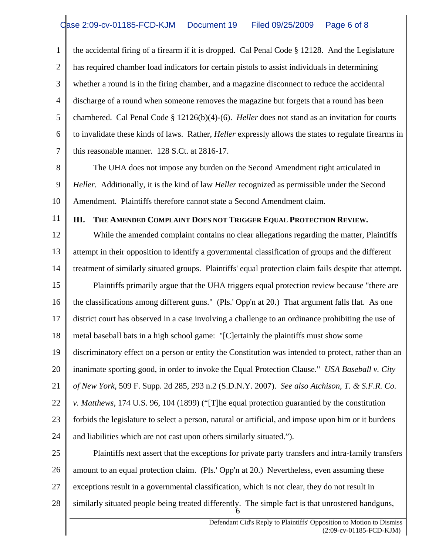1 2 3 4 5 6 7 the accidental firing of a firearm if it is dropped. Cal Penal Code § 12128. And the Legislature has required chamber load indicators for certain pistols to assist individuals in determining whether a round is in the firing chamber, and a magazine disconnect to reduce the accidental discharge of a round when someone removes the magazine but forgets that a round has been chambered. Cal Penal Code § 12126(b)(4)-(6). *Heller* does not stand as an invitation for courts to invalidate these kinds of laws. Rather, *Heller* expressly allows the states to regulate firearms in this reasonable manner. 128 S.Ct. at 2816-17.

8

9 10 The UHA does not impose any burden on the Second Amendment right articulated in *Heller*. Additionally, it is the kind of law *Heller* recognized as permissible under the Second Amendment. Plaintiffs therefore cannot state a Second Amendment claim.

11

## **III. THE AMENDED COMPLAINT DOES NOT TRIGGER EQUAL PROTECTION REVIEW.**

12 13 14 15 16 17 18 19 20 21 22 23 24 While the amended complaint contains no clear allegations regarding the matter, Plaintiffs attempt in their opposition to identify a governmental classification of groups and the different treatment of similarly situated groups. Plaintiffs' equal protection claim fails despite that attempt. Plaintiffs primarily argue that the UHA triggers equal protection review because "there are the classifications among different guns." (Pls.' Opp'n at 20.) That argument falls flat. As one district court has observed in a case involving a challenge to an ordinance prohibiting the use of metal baseball bats in a high school game: "[C]ertainly the plaintiffs must show some discriminatory effect on a person or entity the Constitution was intended to protect, rather than an inanimate sporting good, in order to invoke the Equal Protection Clause." *USA Baseball v. City of New York*, 509 F. Supp. 2d 285, 293 n.2 (S.D.N.Y. 2007). *See also Atchison, T. & S.F.R. Co. v. Matthews*, 174 U.S. 96, 104 (1899) ("[T]he equal protection guarantied by the constitution forbids the legislature to select a person, natural or artificial, and impose upon him or it burdens and liabilities which are not cast upon others similarly situated.").

25 26 27 28 6 Plaintiffs next assert that the exceptions for private party transfers and intra-family transfers amount to an equal protection claim. (Pls.' Opp'n at 20.) Nevertheless, even assuming these exceptions result in a governmental classification, which is not clear, they do not result in similarly situated people being treated differently. The simple fact is that unrostered handguns,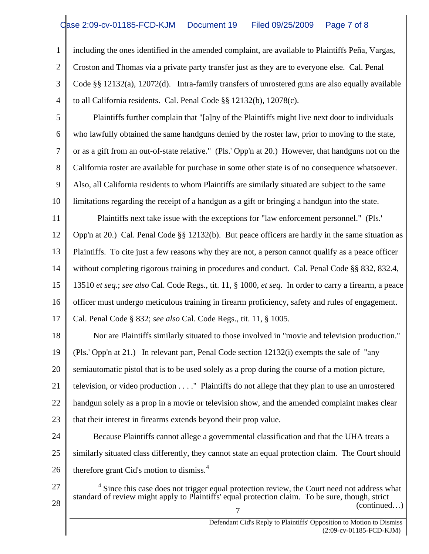## Case 2:09-cv-01185-FCD-KJM Document 19 Filed 09/25/2009 Page 7 of 8

1 2 3 4 including the ones identified in the amended complaint, are available to Plaintiffs Peña, Vargas, Croston and Thomas via a private party transfer just as they are to everyone else. Cal. Penal Code §§ 12132(a), 12072(d). Intra-family transfers of unrostered guns are also equally available to all California residents. Cal. Penal Code §§ 12132(b), 12078(c).

5 6 7 8 9 10 Plaintiffs further complain that "[a]ny of the Plaintiffs might live next door to individuals who lawfully obtained the same handguns denied by the roster law, prior to moving to the state, or as a gift from an out-of-state relative." (Pls.' Opp'n at 20.) However, that handguns not on the California roster are available for purchase in some other state is of no consequence whatsoever. Also, all California residents to whom Plaintiffs are similarly situated are subject to the same limitations regarding the receipt of a handgun as a gift or bringing a handgun into the state.

11 Plaintiffs next take issue with the exceptions for "law enforcement personnel." (Pls.'

12 13 Opp'n at 20.) Cal. Penal Code §§ 12132(b). But peace officers are hardly in the same situation as Plaintiffs. To cite just a few reasons why they are not, a person cannot qualify as a peace officer

14 without completing rigorous training in procedures and conduct. Cal. Penal Code §§ 832, 832.4,

15 13510 *et seq*.; *see also* Cal. Code Regs., tit. 11, § 1000, *et seq*. In order to carry a firearm, a peace

16 officer must undergo meticulous training in firearm proficiency, safety and rules of engagement.

17 Cal. Penal Code § 832; *see also* Cal. Code Regs., tit. 11, § 1005.

<span id="page-6-0"></span>27

28

18 19 20 21 22 23 Nor are Plaintiffs similarly situated to those involved in "movie and television production." (Pls.' Opp'n at 21.) In relevant part, Penal Code section 12132(i) exempts the sale of "any semiautomatic pistol that is to be used solely as a prop during the course of a motion picture, television, or video production . . . ." Plaintiffs do not allege that they plan to use an unrostered handgun solely as a prop in a movie or television show, and the amended complaint makes clear that their interest in firearms extends beyond their prop value.

24 25 26 Because Plaintiffs cannot allege a governmental classification and that the UHA treats a similarly situated class differently, they cannot state an equal protection claim. The Court should therefore grant Cid's motion to dismiss. $4$ 

- 7  $\overline{a}$ (continued…)  $4$  Since this case does not trigger equal protection review, the Court need not address what standard of review might apply to Plaintiffs' equal protection claim. To be sure, though, strict
	- Defendant Cid's Reply to Plaintiffs' Opposition to Motion to Dismiss (2:09-cv-01185-FCD-KJM)